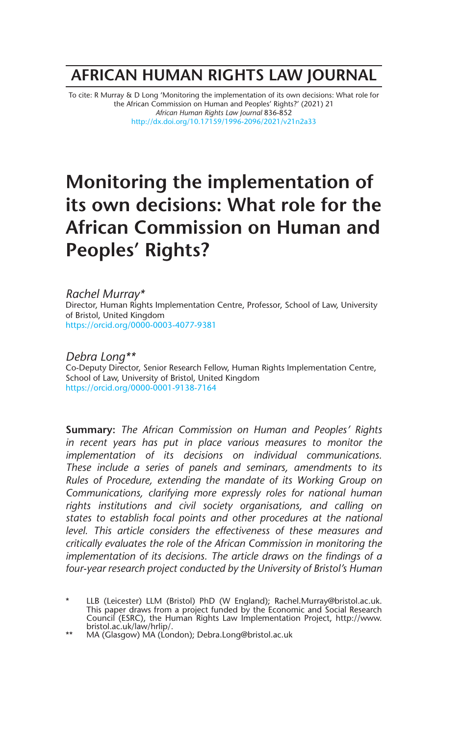## **AFRICAN HUMAN RIGHTS LAW JOURNAL**

To cite: R Murray & D Long 'Monitoring the implementation of its own decisions: What role for the African Commission on Human and Peoples' Rights?' (2021) 21 *African Human Rights Law Journal* 836-852 http://dx.doi.org/10.17159/1996-2096/2021/v21n2a33

# **Monitoring the implementation of its own decisions: What role for the African Commission on Human and Peoples' Rights?**

#### *Rachel Murray\**

Director, Human Rights Implementation Centre, Professor, School of Law, University of Bristol, United Kingdom https://orcid.org/0000-0003-4077-9381

*Debra Long\*\** Co-Deputy Director, Senior Research Fellow, Human Rights Implementation Centre, School of Law, University of Bristol, United Kingdom https://orcid.org/0000-0001-9138-7164

**Summary:** *The African Commission on Human and Peoples' Rights in recent years has put in place various measures to monitor the implementation of its decisions on individual communications. These include a series of panels and seminars, amendments to its Rules of Procedure, extending the mandate of its Working Group on Communications, clarifying more expressly roles for national human rights institutions and civil society organisations, and calling on states to establish focal points and other procedures at the national level. This article considers the effectiveness of these measures and critically evaluates the role of the African Commission in monitoring the implementation of its decisions. The article draws on the findings of a four-year research project conducted by the University of Bristol's Human*

<sup>\*</sup> LLB (Leicester) LLM (Bristol) PhD (W England); Rachel.Murray@bristol.ac.uk. This paper draws from a project funded by the Economic and Social Research Council (ESRC), the Human Rights Law Implementation Project, http://www. bristol.ac.uk/law/hrlip/.

<sup>\*\*</sup> MA (Glasgow) MA (London); Debra.Long@bristol.ac.uk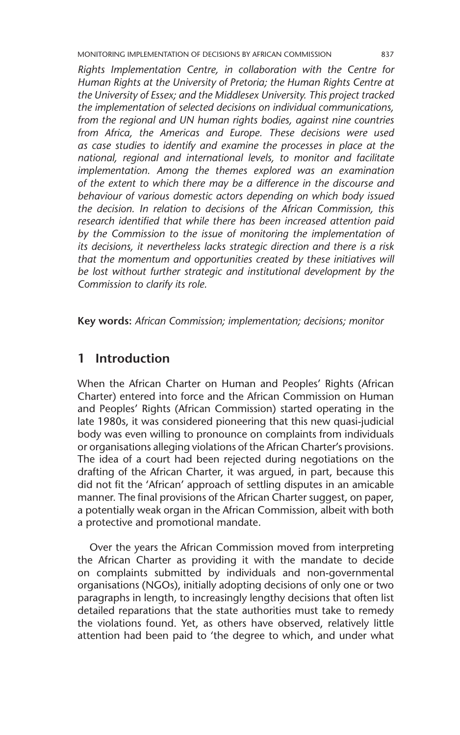MONITORING IMPLEMENTATION OF DECISIONS BY AFRICAN COMMISSION 837

*Rights Implementation Centre, in collaboration with the Centre for Human Rights at the University of Pretoria; the Human Rights Centre at the University of Essex; and the Middlesex University. This project tracked the implementation of selected decisions on individual communications, from the regional and UN human rights bodies, against nine countries from Africa, the Americas and Europe. These decisions were used as case studies to identify and examine the processes in place at the national, regional and international levels, to monitor and facilitate implementation. Among the themes explored was an examination of the extent to which there may be a difference in the discourse and behaviour of various domestic actors depending on which body issued the decision. In relation to decisions of the African Commission, this research identified that while there has been increased attention paid by the Commission to the issue of monitoring the implementation of its decisions, it nevertheless lacks strategic direction and there is a risk that the momentum and opportunities created by these initiatives will be lost without further strategic and institutional development by the Commission to clarify its role.*

**Key words:** *African Commission; implementation; decisions; monitor*

## **1 Introduction**

When the African Charter on Human and Peoples' Rights (African Charter) entered into force and the African Commission on Human and Peoples' Rights (African Commission) started operating in the late 1980s, it was considered pioneering that this new quasi-judicial body was even willing to pronounce on complaints from individuals or organisations alleging violations of the African Charter's provisions. The idea of a court had been rejected during negotiations on the drafting of the African Charter, it was argued, in part, because this did not fit the 'African' approach of settling disputes in an amicable manner. The final provisions of the African Charter suggest, on paper, a potentially weak organ in the African Commission, albeit with both a protective and promotional mandate.

Over the years the African Commission moved from interpreting the African Charter as providing it with the mandate to decide on complaints submitted by individuals and non-governmental organisations (NGOs), initially adopting decisions of only one or two paragraphs in length, to increasingly lengthy decisions that often list detailed reparations that the state authorities must take to remedy the violations found. Yet, as others have observed, relatively little attention had been paid to 'the degree to which, and under what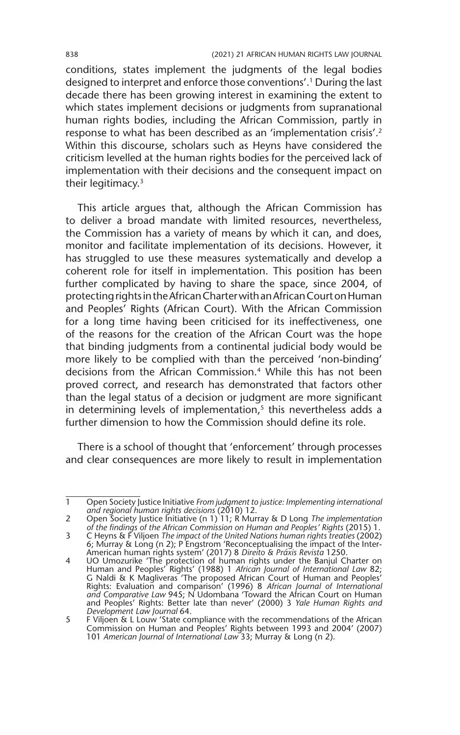conditions, states implement the judgments of the legal bodies designed to interpret and enforce those conventions'.1 During the last decade there has been growing interest in examining the extent to which states implement decisions or judgments from supranational human rights bodies, including the African Commission, partly in response to what has been described as an 'implementation crisis'.2 Within this discourse, scholars such as Heyns have considered the criticism levelled at the human rights bodies for the perceived lack of implementation with their decisions and the consequent impact on their legitimacy.<sup>3</sup>

This article argues that, although the African Commission has to deliver a broad mandate with limited resources, nevertheless, the Commission has a variety of means by which it can, and does, monitor and facilitate implementation of its decisions. However, it has struggled to use these measures systematically and develop a coherent role for itself in implementation. This position has been further complicated by having to share the space, since 2004, of protecting rights in the African Charter with an African Court on Human and Peoples' Rights (African Court). With the African Commission for a long time having been criticised for its ineffectiveness, one of the reasons for the creation of the African Court was the hope that binding judgments from a continental judicial body would be more likely to be complied with than the perceived 'non-binding' decisions from the African Commission.4 While this has not been proved correct, and research has demonstrated that factors other than the legal status of a decision or judgment are more significant in determining levels of implementation, $5$  this nevertheless adds a further dimension to how the Commission should define its role.

There is a school of thought that 'enforcement' through processes and clear consequences are more likely to result in implementation

<sup>1</sup> Open Society Justice Initiative *From judgment to justice: Implementing international and regional human rights decisions* (2010) 12.

<sup>2</sup> Open Society Justice Initiative (n 1) 11; R Murray & D Long *The implementation of the findings of the African Commission on Human and Peoples' Rights* (2015) 1.

<sup>3</sup> C Heyns & F Viljoen *The impact of the United Nations human rights treaties* (2002) 6; Murray & Long (n 2); P Engstrom 'Reconceptualising the impact of the Inter-American human rights system' (2017) 8 *Direito & Práxis Revista* 1250.

<sup>4</sup> UO Umozurike 'The protection of human rights under the Banjul Charter on Human and Peoples' Rights' (1988) 1 *African Journal of International Law* 82; G Naldi & K Magliveras 'The proposed African Court of Human and Peoples' Rights: Evaluation and comparison' (1996) 8 *African Journal of International and Comparative Law* 945; N Udombana 'Toward the African Court on Human and Peoples' Rights: Better late than never' (2000) 3 *Yale Human Rights and Development Law Journal* 64.

<sup>5</sup> F Viljoen & L Louw 'State compliance with the recommendations of the African Commission on Human and Peoples' Rights between 1993 and 2004' (2007) 101 *American Journal of International Law* 33; Murray & Long (n 2).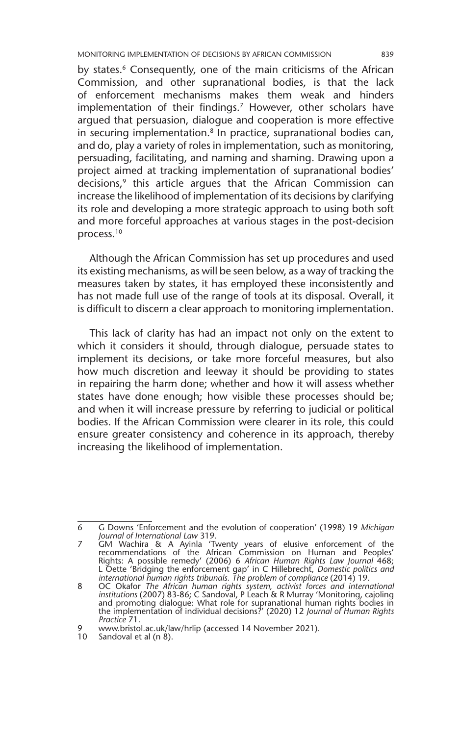MONITORING IMPLEMENTATION OF DECISIONS BY AFRICAN COMMISSION 839

by states.<sup>6</sup> Consequently, one of the main criticisms of the African Commission, and other supranational bodies, is that the lack of enforcement mechanisms makes them weak and hinders implementation of their findings.<sup>7</sup> However, other scholars have argued that persuasion, dialogue and cooperation is more effective in securing implementation. $8$  In practice, supranational bodies can, and do, play a variety of roles in implementation, such as monitoring, persuading, facilitating, and naming and shaming. Drawing upon a project aimed at tracking implementation of supranational bodies' decisions,<sup>9</sup> this article argues that the African Commission can increase the likelihood of implementation of its decisions by clarifying its role and developing a more strategic approach to using both soft and more forceful approaches at various stages in the post-decision process.10

Although the African Commission has set up procedures and used its existing mechanisms, as will be seen below, as a way of tracking the measures taken by states, it has employed these inconsistently and has not made full use of the range of tools at its disposal. Overall, it is difficult to discern a clear approach to monitoring implementation.

This lack of clarity has had an impact not only on the extent to which it considers it should, through dialogue, persuade states to implement its decisions, or take more forceful measures, but also how much discretion and leeway it should be providing to states in repairing the harm done; whether and how it will assess whether states have done enough; how visible these processes should be; and when it will increase pressure by referring to judicial or political bodies. If the African Commission were clearer in its role, this could ensure greater consistency and coherence in its approach, thereby increasing the likelihood of implementation.

<sup>6</sup> G Downs 'Enforcement and the evolution of cooperation' (1998) 19 *Michigan Journal of International Law* 319.

<sup>7</sup> GM Wachira & A Ayinla 'Twenty years of elusive enforcement of the recommendations of the African Commission on Human and Peoples' Rights: A possible remedy' (2006) 6 *African Human Rights Law Journal* 468; L Oette 'Bridging the enforcement gap' in C Hillebrecht, *Domestic politics and international human rights tribunals. The problem of compliance* (2014) 19.

<sup>8</sup> OC Okafor *The African human rights system, activist forces and international institutions* (2007) 83-86; C Sandoval, P Leach & R Murray 'Monitoring, cajoling<br>and promoting dialogue: What role for supranational human rights bodies in<br>the implementation of individual decisions?' (2020) 12 *Journal o Practice* 71.

<sup>9</sup> www.bristol.ac.uk/law/hrlip (accessed 14 November 2021).

<sup>10</sup> Sandoval et al (n 8).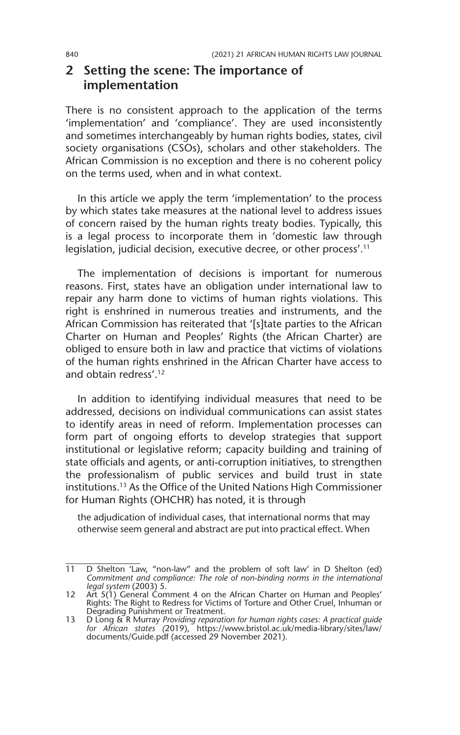## **2 Setting the scene: The importance of implementation**

There is no consistent approach to the application of the terms 'implementation' and 'compliance'. They are used inconsistently and sometimes interchangeably by human rights bodies, states, civil society organisations (CSOs), scholars and other stakeholders. The African Commission is no exception and there is no coherent policy on the terms used, when and in what context.

In this article we apply the term 'implementation' to the process by which states take measures at the national level to address issues of concern raised by the human rights treaty bodies. Typically, this is a legal process to incorporate them in 'domestic law through legislation, judicial decision, executive decree, or other process'.11

The implementation of decisions is important for numerous reasons. First, states have an obligation under international law to repair any harm done to victims of human rights violations. This right is enshrined in numerous treaties and instruments, and the African Commission has reiterated that '[s]tate parties to the African Charter on Human and Peoples' Rights (the African Charter) are obliged to ensure both in law and practice that victims of violations of the human rights enshrined in the African Charter have access to and obtain redress'.<sup>12</sup>

In addition to identifying individual measures that need to be addressed, decisions on individual communications can assist states to identify areas in need of reform. Implementation processes can form part of ongoing efforts to develop strategies that support institutional or legislative reform; capacity building and training of state officials and agents, or anti-corruption initiatives, to strengthen the professionalism of public services and build trust in state institutions.13 As the Office of the United Nations High Commissioner for Human Rights (OHCHR) has noted, it is through

the adjudication of individual cases, that international norms that may otherwise seem general and abstract are put into practical effect. When

<sup>11</sup> D Shelton 'Law, "non-law" and the problem of soft law' in D Shelton (ed) *Commitment and compliance: The role of non-binding norms in the international legal system* (2003) 5.

<sup>12</sup> Art 5(1) General Comment 4 on the African Charter on Human and Peoples' Rights: The Right to Redress for Victims of Torture and Other Cruel, Inhuman or Degrading Punishment or Treatment.

<sup>13</sup> D Long & R Murray *Providing reparation for human rights cases: A practical guide for African states (*2019), https://www.bristol.ac.uk/media-library/sites/law/ documents/Guide.pdf (accessed 29 November 2021).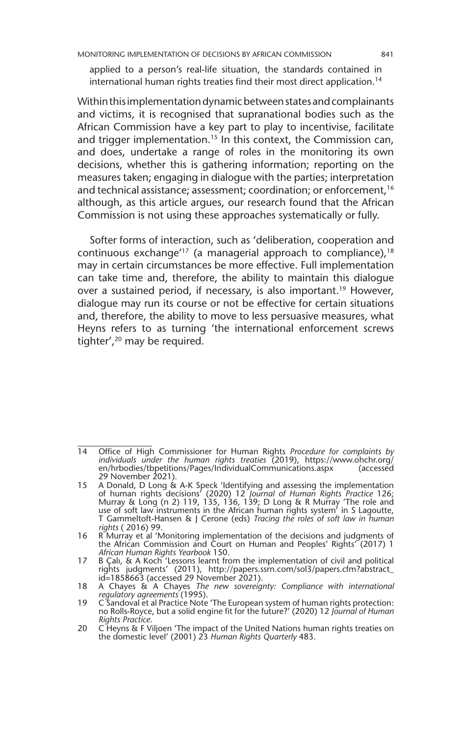applied to a person's real-life situation, the standards contained in international human rights treaties find their most direct application.<sup>14</sup>

Within this implementation dynamic between states and complainants and victims, it is recognised that supranational bodies such as the African Commission have a key part to play to incentivise, facilitate and trigger implementation.<sup>15</sup> In this context, the Commission can, and does, undertake a range of roles in the monitoring its own decisions, whether this is gathering information; reporting on the measures taken; engaging in dialogue with the parties; interpretation and technical assistance; assessment; coordination; or enforcement,<sup>16</sup> although, as this article argues, our research found that the African Commission is not using these approaches systematically or fully.

Softer forms of interaction, such as 'deliberation, cooperation and continuous exchange<sup> $17$ </sup> (a managerial approach to compliance),  $18$ may in certain circumstances be more effective. Full implementation can take time and, therefore, the ability to maintain this dialogue over a sustained period, if necessary, is also important.<sup>19</sup> However, dialogue may run its course or not be effective for certain situations and, therefore, the ability to move to less persuasive measures, what Heyns refers to as turning 'the international enforcement screws tighter',20 may be required.

<sup>14</sup> Office of High Commissioner for Human Rights *Procedure for complaints by individuals under the human rights treaties* (2019), https://www.ohchr.org/ en/hrbodies/tbpetitions/Pages/IndividualCommunications.aspx (accessed 29 November 2021).

<sup>15</sup> A Donald, D Long & A-K Speck 'Identifying and assessing the implementation of human rights decisions' (2020) 12 *Journal of Human Rights Practice* 126; Murray & Long (n 2) 119, 135, 136, 139; D Long & R Murray 'The role and use of soft law instruments in the African human rights system' in S Lagoutte, T Gammeltoft-Hansen & J Cerone (eds) *Tracing the roles of soft law in human rights* ( 2016) 99.

<sup>16</sup> R Murray et al 'Monitoring implementation of the decisions and judgments of the African Commission and Court on Human and Peoples' Rights' (2017) 1 *African Human Rights Yearbook* 150.

<sup>17</sup> B Çalı, & A Koch 'Lessons learnt from the implementation of civil and political rights judgments' (2011), http://papers.ssrn.com/sol3/papers.cfm?abstract\_ id=1858663 (accessed 29 November 2021).

<sup>18</sup> A Chayes & A Chayes *The new sovereignty: Compliance with international regulatory agreements* (1995). 19 C Sandoval et al Practice Note 'The European system of human rights protection:

no Rolls-Royce, but a solid engine fit for the future?' (2020) 12 *Journal of Human Rights Practice*.

<sup>20</sup> C Heyns & F Viljoen 'The impact of the United Nations human rights treaties on the domestic level' (2001) 23 *Human Rights Quarterly* 483.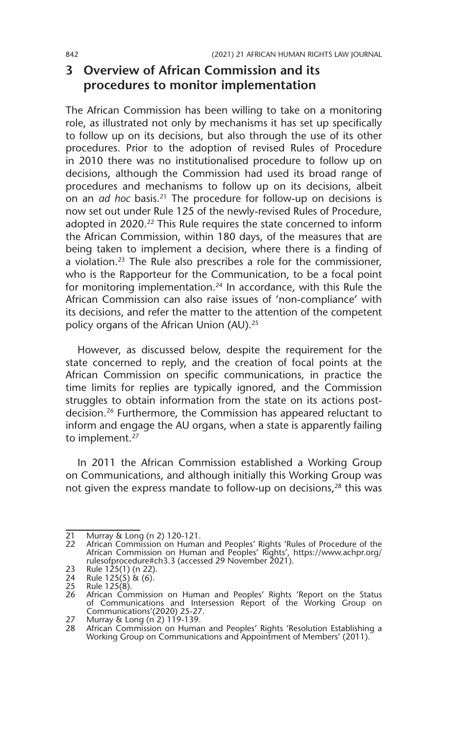## **3 Overview of African Commission and its procedures to monitor implementation**

The African Commission has been willing to take on a monitoring role, as illustrated not only by mechanisms it has set up specifically to follow up on its decisions, but also through the use of its other procedures. Prior to the adoption of revised Rules of Procedure in 2010 there was no institutionalised procedure to follow up on decisions, although the Commission had used its broad range of procedures and mechanisms to follow up on its decisions, albeit on an *ad hoc* basis.21 The procedure for follow-up on decisions is now set out under Rule 125 of the newly-revised Rules of Procedure, adopted in 2020.<sup>22</sup> This Rule requires the state concerned to inform the African Commission, within 180 days, of the measures that are being taken to implement a decision, where there is a finding of a violation.23 The Rule also prescribes a role for the commissioner, who is the Rapporteur for the Communication, to be a focal point for monitoring implementation.<sup>24</sup> In accordance, with this Rule the African Commission can also raise issues of 'non-compliance' with its decisions, and refer the matter to the attention of the competent policy organs of the African Union (AU).<sup>25</sup>

However, as discussed below, despite the requirement for the state concerned to reply, and the creation of focal points at the African Commission on specific communications, in practice the time limits for replies are typically ignored, and the Commission struggles to obtain information from the state on its actions postdecision.26 Furthermore, the Commission has appeared reluctant to inform and engage the AU organs, when a state is apparently failing to implement.<sup>27</sup>

In 2011 the African Commission established a Working Group on Communications, and although initially this Working Group was not given the express mandate to follow-up on decisions,<sup>28</sup> this was

<sup>21</sup> Murray & Long (n 2) 120-121.<br>22 African Commission on Human

<sup>22</sup> African Commission on Human and Peoples' Rights 'Rules of Procedure of the African Commission on Human and Peoples' Rights', https://www.achpr.org/ rulesofprocedure#ch3.3 (accessed 29 November 2021).

<sup>23</sup> Rule 125(1) (n 22).

<sup>24</sup> Rule 125(5) & (6).

<sup>25</sup> Rule  $125(8)$ .

<sup>26</sup> African Commission on Human and Peoples' Rights 'Report on the Status of Communications and Intersession Report of the Working Group on Communications'(2020) 25-27.

<sup>27</sup> Murray & Long (n 2) 119-139.

<sup>28</sup> African Commission on Human and Peoples' Rights 'Resolution Establishing a Working Group on Communications and Appointment of Members' (2011).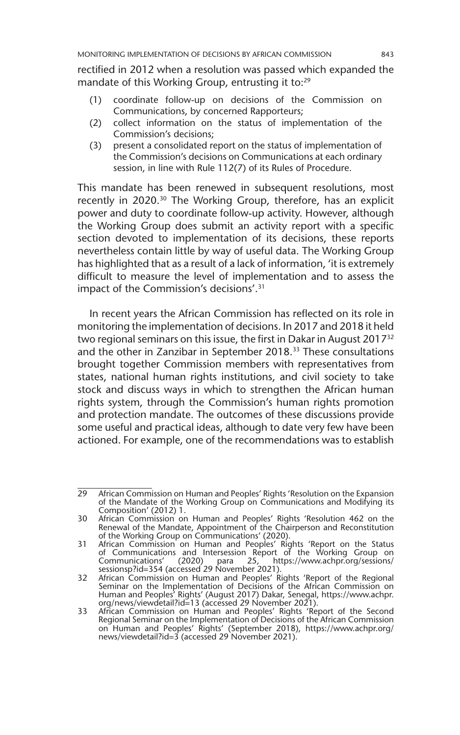rectified in 2012 when a resolution was passed which expanded the mandate of this Working Group, entrusting it to:<sup>29</sup>

- (1) coordinate follow-up on decisions of the Commission on Communications, by concerned Rapporteurs;
- (2) collect information on the status of implementation of the Commission's decisions;
- (3) present a consolidated report on the status of implementation of the Commission's decisions on Communications at each ordinary session, in line with Rule 112(7) of its Rules of Procedure.

This mandate has been renewed in subsequent resolutions, most recently in 2020.<sup>30</sup> The Working Group, therefore, has an explicit power and duty to coordinate follow-up activity. However, although the Working Group does submit an activity report with a specific section devoted to implementation of its decisions, these reports nevertheless contain little by way of useful data. The Working Group has highlighted that as a result of a lack of information, 'it is extremely difficult to measure the level of implementation and to assess the impact of the Commission's decisions'.31

In recent years the African Commission has reflected on its role in monitoring the implementation of decisions. In 2017 and 2018 it held two regional seminars on this issue, the first in Dakar in August 2017<sup>32</sup> and the other in Zanzibar in September 2018.<sup>33</sup> These consultations brought together Commission members with representatives from states, national human rights institutions, and civil society to take stock and discuss ways in which to strengthen the African human rights system, through the Commission's human rights promotion and protection mandate. The outcomes of these discussions provide some useful and practical ideas, although to date very few have been actioned. For example, one of the recommendations was to establish

<sup>29</sup> African Commission on Human and Peoples' Rights 'Resolution on the Expansion of the Mandate of the Working Group on Communications and Modifying its Composition' (2012) 1.

<sup>30</sup> African Commission on Human and Peoples' Rights 'Resolution 462 on the Renewal of the Mandate, Appointment of the Chairperson and Reconstitution of the Working Group on Communications' (2020).

<sup>31</sup> African Commission on Human and Peoples' Rights 'Report on the Status of Communications and Intersession Report of the Working Group on Communications' (2020) para 25, https://www.achpr.org/sessions/ sessionsp?id=354 (accessed 29 November 2021).

<sup>32</sup> African Commission on Human and Peoples' Rights 'Report of the Regional Seminar on the Implementation of Decisions of the African Commission on Human and Peoples' Rights' (August 2017) Dakar, Senegal, https://www.achpr. org/news/viewdetail?id=13 (accessed 29 November 2021). 33 African Commission on Human and Peoples' Rights 'Report of the Second

Regional Seminar on the Implementation of Decisions of the African Commission on Human and Peoples' Rights' (September 2018), https://www.achpr.org/ news/viewdetail?id=3 (accessed 29 November 2021).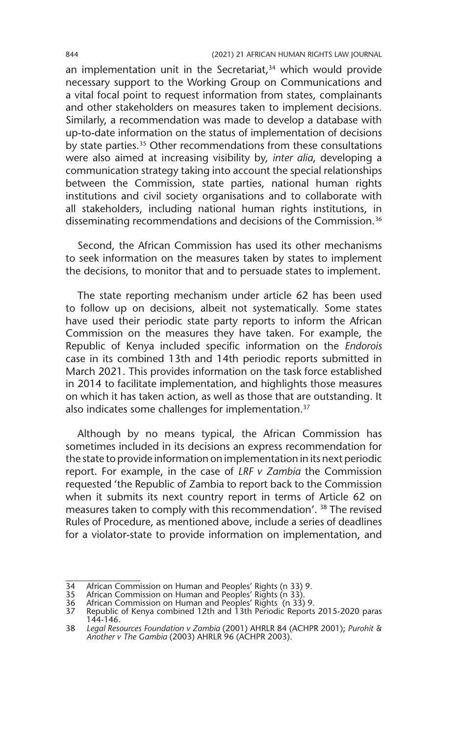an implementation unit in the Secretariat, $34$  which would provide necessary support to the Working Group on Communications and a vital focal point to request information from states, complainants and other stakeholders on measures taken to implement decisions. Similarly, a recommendation was made to develop a database with up-to-date information on the status of implementation of decisions by state parties.<sup>35</sup> Other recommendations from these consultations were also aimed at increasing visibility by, *inter alia*, developing a communication strategy taking into account the special relationships between the Commission, state parties, national human rights institutions and civil society organisations and to collaborate with all stakeholders, including national human rights institutions, in disseminating recommendations and decisions of the Commission.<sup>36</sup>

Second, the African Commission has used its other mechanisms to seek information on the measures taken by states to implement the decisions, to monitor that and to persuade states to implement.

The state reporting mechanism under article 62 has been used to follow up on decisions, albeit not systematically. Some states have used their periodic state party reports to inform the African Commission on the measures they have taken. For example, the Republic of Kenya included specific information on the *Endorois* case in its combined 13th and 14th periodic reports submitted in March 2021. This provides information on the task force established in 2014 to facilitate implementation, and highlights those measures on which it has taken action, as well as those that are outstanding. It also indicates some challenges for implementation.<sup>37</sup>

Although by no means typical, the African Commission has sometimes included in its decisions an express recommendation for the state to provide information on implementation in its next periodic report. For example, in the case of *LRF v Zambia* the Commission requested 'the Republic of Zambia to report back to the Commission when it submits its next country report in terms of Article 62 on measures taken to comply with this recommendation'. 38 The revised Rules of Procedure, as mentioned above, include a series of deadlines for a violator-state to provide information on implementation, and

<sup>34</sup> African Commission on Human and Peoples' Rights (n 33) 9.

<sup>35</sup> African Commission on Human and Peoples' Rights (n 33). 36 African Commission on Human and Peoples' Rights (n 33) 9. 37 Republic of Kenya combined 12th and 13th Periodic Reports 2015-2020 paras 144-146.

<sup>38</sup> *Legal Resources Foundation v Zambia* (2001) AHRLR 84 (ACHPR 2001); *Purohit & Another v The Gambia* (2003) AHRLR 96 (ACHPR 2003).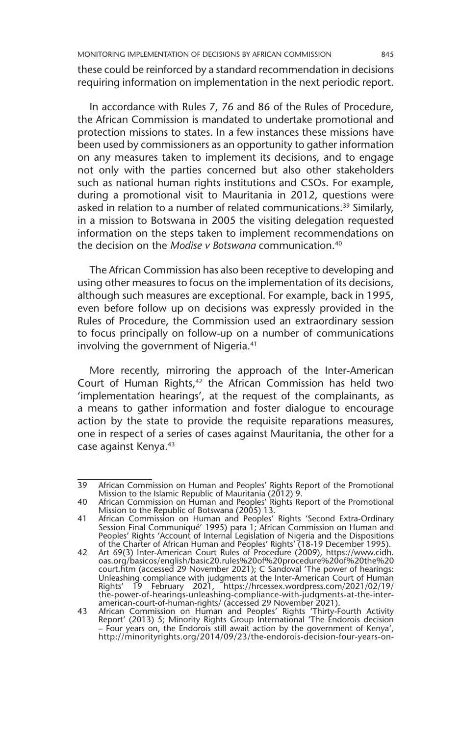these could be reinforced by a standard recommendation in decisions requiring information on implementation in the next periodic report.

In accordance with Rules 7, 76 and 86 of the Rules of Procedure, the African Commission is mandated to undertake promotional and protection missions to states. In a few instances these missions have been used by commissioners as an opportunity to gather information on any measures taken to implement its decisions, and to engage not only with the parties concerned but also other stakeholders such as national human rights institutions and CSOs. For example, during a promotional visit to Mauritania in 2012, questions were asked in relation to a number of related communications.<sup>39</sup> Similarly, in a mission to Botswana in 2005 the visiting delegation requested information on the steps taken to implement recommendations on the decision on the *Modise v Botswana* communication.40

The African Commission has also been receptive to developing and using other measures to focus on the implementation of its decisions, although such measures are exceptional. For example, back in 1995, even before follow up on decisions was expressly provided in the Rules of Procedure, the Commission used an extraordinary session to focus principally on follow-up on a number of communications involving the government of Nigeria.<sup>41</sup>

More recently, mirroring the approach of the Inter-American Court of Human Rights,<sup>42</sup> the African Commission has held two 'implementation hearings', at the request of the complainants, as a means to gather information and foster dialogue to encourage action by the state to provide the requisite reparations measures, one in respect of a series of cases against Mauritania, the other for a case against Kenya.43

<sup>39</sup> African Commission on Human and Peoples' Rights Report of the Promotional Mission to the Islamic Republic of Mauritania (2012) 9.

<sup>40</sup> African Commission on Human and Peoples' Rights Report of the Promotional Mission to the Republic of Botswana (2005) 13.

<sup>41</sup> African Commission on Human and Peoples' Rights 'Second Extra-Ordinary Session Final Communiqué' 1995) para 1; African Commission on Human and Peoples' Rights 'Account of Internal Legislation of Nigeria and the Dispositions of the Charter of African Human and Peoples' Rights' (18-19 December 1995).

<sup>42</sup> Art 69(3) Inter-American Court Rules of Procedure (2009), https://www.cidh. oas.org/basicos/english/basic20.rules%20of%20procedure%20of%20the%20 court.htm (accessed 29 November 2021); C Sandoval 'The power of hearings: Unleashing compliance with judgments at the Inter-American Court of Human Rights' 19 February 2021, https://hrcessex.wordpress.com/2021/02/19/ the-power-of-hearings-unleashing-compliance-with-judgments-at-the-inter-american-court-of-human-rights/ (accessed 29 November 2021). 43 African Commission on Human and Peoples' Rights 'Thirty-Fourth Activity

Report' (2013) 5; Minority Rights Group International 'The Endorois decision – Four years on, the Endorois still await action by the government of Kenya', http://minorityrights.org/2014/09/23/the-endorois-decision-four-years-on-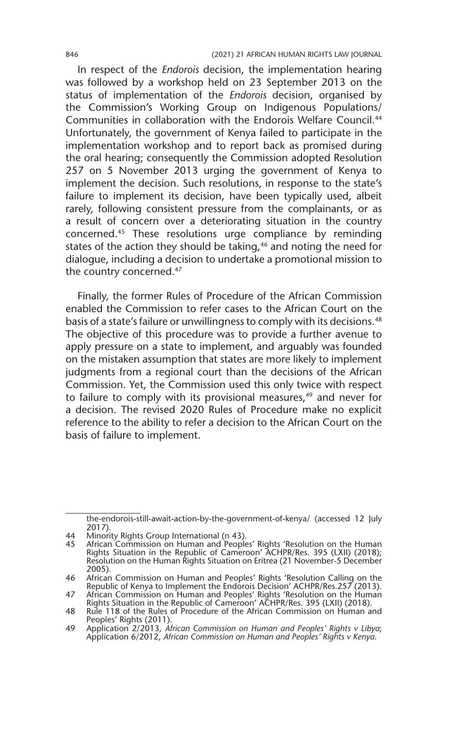In respect of the *Endorois* decision, the implementation hearing was followed by a workshop held on 23 September 2013 on the status of implementation of the *Endorois* decision, organised by the Commission's Working Group on Indigenous Populations/ Communities in collaboration with the Endorois Welfare Council.44 Unfortunately, the government of Kenya failed to participate in the implementation workshop and to report back as promised during the oral hearing; consequently the Commission adopted Resolution 257 on 5 November 2013 urging the government of Kenya to implement the decision. Such resolutions, in response to the state's failure to implement its decision, have been typically used, albeit rarely, following consistent pressure from the complainants, or as a result of concern over a deteriorating situation in the country concerned.45 These resolutions urge compliance by reminding states of the action they should be taking,<sup>46</sup> and noting the need for dialogue, including a decision to undertake a promotional mission to the country concerned.47

Finally, the former Rules of Procedure of the African Commission enabled the Commission to refer cases to the African Court on the basis of a state's failure or unwillingness to comply with its decisions.<sup>48</sup> The objective of this procedure was to provide a further avenue to apply pressure on a state to implement, and arguably was founded on the mistaken assumption that states are more likely to implement judgments from a regional court than the decisions of the African Commission. Yet, the Commission used this only twice with respect to failure to comply with its provisional measures,<sup>49</sup> and never for a decision. The revised 2020 Rules of Procedure make no explicit reference to the ability to refer a decision to the African Court on the basis of failure to implement.

the-endorois-still-await-action-by-the-government-of-kenya/ (accessed 12 July 2017).

<sup>44</sup> Minority Rights Group International (n 43).<br>45 African Commission on Human and People

<sup>45</sup> African Commission on Human and Peoples' Rights 'Resolution on the Human Rights Situation in the Republic of Cameroon' ACHPR/Res. 395 (LXII) (2018); Resolution on the Human Rights Situation on Eritrea (21 November-5 December 2005).

<sup>46</sup> African Commission on Human and Peoples' Rights 'Resolution Calling on the Republic of Kenya to Implement the Endorois Decision' ACHPR/Res.257 (2013).

<sup>47</sup> African Commission on Human and Peoples' Rights 'Resolution on the Human<br>Rights Situation in the Republic of Cameroon' ACHPR/Res. 395 (LXII) (2018).<br>48 Rule 118 of the Rules of Procedure of the African Commission on

Peoples' Rights (2011)

<sup>49</sup> Application 2/2013, *African Commission on Human and Peoples' Rights v Libya*; Application 6/2012, *African Commission on Human and Peoples' Rights v Kenya*.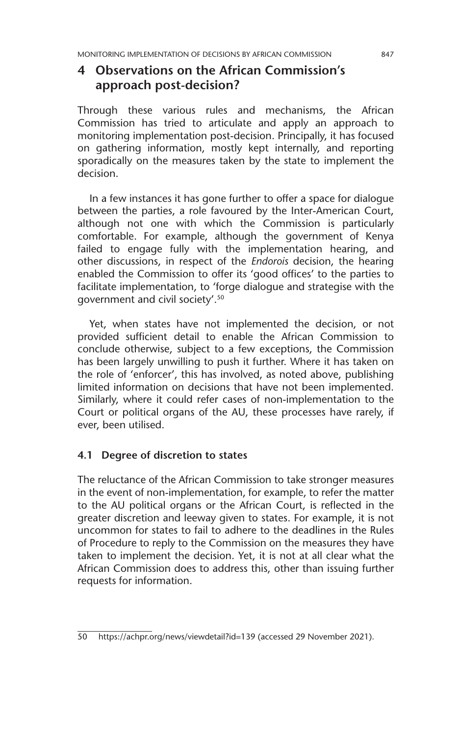## **4 Observations on the African Commission's approach post-decision?**

Through these various rules and mechanisms, the African Commission has tried to articulate and apply an approach to monitoring implementation post-decision. Principally, it has focused on gathering information, mostly kept internally, and reporting sporadically on the measures taken by the state to implement the decision.

In a few instances it has gone further to offer a space for dialogue between the parties, a role favoured by the Inter-American Court, although not one with which the Commission is particularly comfortable. For example, although the government of Kenya failed to engage fully with the implementation hearing, and other discussions, in respect of the *Endorois* decision, the hearing enabled the Commission to offer its 'good offices' to the parties to facilitate implementation, to 'forge dialogue and strategise with the government and civil society'.50

Yet, when states have not implemented the decision, or not provided sufficient detail to enable the African Commission to conclude otherwise, subject to a few exceptions, the Commission has been largely unwilling to push it further. Where it has taken on the role of 'enforcer', this has involved, as noted above, publishing limited information on decisions that have not been implemented. Similarly, where it could refer cases of non-implementation to the Court or political organs of the AU, these processes have rarely, if ever, been utilised.

#### **4.1 Degree of discretion to states**

The reluctance of the African Commission to take stronger measures in the event of non-implementation, for example, to refer the matter to the AU political organs or the African Court, is reflected in the greater discretion and leeway given to states. For example, it is not uncommon for states to fail to adhere to the deadlines in the Rules of Procedure to reply to the Commission on the measures they have taken to implement the decision. Yet, it is not at all clear what the African Commission does to address this, other than issuing further requests for information.

<sup>50</sup> https://achpr.org/news/viewdetail?id=139 (accessed 29 November 2021).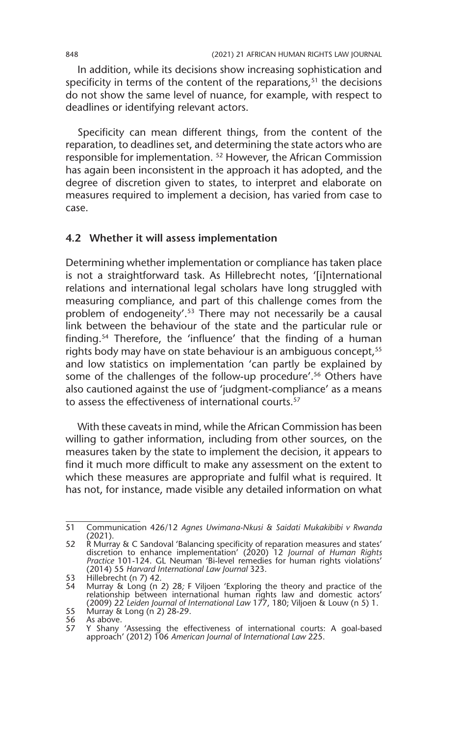In addition, while its decisions show increasing sophistication and specificity in terms of the content of the reparations, $51$  the decisions do not show the same level of nuance, for example, with respect to deadlines or identifying relevant actors.

Specificity can mean different things, from the content of the reparation, to deadlines set, and determining the state actors who are responsible for implementation. 52 However, the African Commission has again been inconsistent in the approach it has adopted, and the degree of discretion given to states, to interpret and elaborate on measures required to implement a decision, has varied from case to case.

#### **4.2 Whether it will assess implementation**

Determining whether implementation or compliance has taken place is not a straightforward task. As Hillebrecht notes, '[i]nternational relations and international legal scholars have long struggled with measuring compliance, and part of this challenge comes from the problem of endogeneity'.<sup>53</sup> There may not necessarily be a causal link between the behaviour of the state and the particular rule or finding.54 Therefore, the 'influence' that the finding of a human rights body may have on state behaviour is an ambiguous concept,<sup>55</sup> and low statistics on implementation 'can partly be explained by some of the challenges of the follow-up procedure'.<sup>56</sup> Others have also cautioned against the use of 'judgment-compliance' as a means to assess the effectiveness of international courts.<sup>57</sup>

With these caveats in mind, while the African Commission has been willing to gather information, including from other sources, on the measures taken by the state to implement the decision, it appears to find it much more difficult to make any assessment on the extent to which these measures are appropriate and fulfil what is required. It has not, for instance, made visible any detailed information on what

<sup>51</sup> Communication 426/12 *Agnes Uwimana-Nkusi & Saidati Mukakibibi v Rwanda*  (2021).

<sup>52</sup> R Murray & C Sandoval 'Balancing specificity of reparation measures and states' discretion to enhance implementation' (2020) 12 *Journal of Human Rights Practice* 101-124. GL Neuman 'Bi-level remedies for human rights violations' (2014) 55 *Harvard International Law Journal* 323.

<sup>53</sup> Hillebrecht (n 7) 42.

<sup>54</sup> Murray & Long (n 2) 28*;* F Viljoen 'Exploring the theory and practice of the relationship between international human rights law and domestic actors' (2009) 22 *Leiden Journal of International Law* 177, 180; Viljoen & Louw (n 5) 1.

<sup>55</sup> Murray & Long (n 2) 28-29.<br>56 As above.<br>57 Y Shany 'Assessing the eff

<sup>56</sup> As above.

<sup>57</sup> Y Shany 'Assessing the effectiveness of international courts: A goal-based approach' (2012) 106 *American Journal of International Law* 225.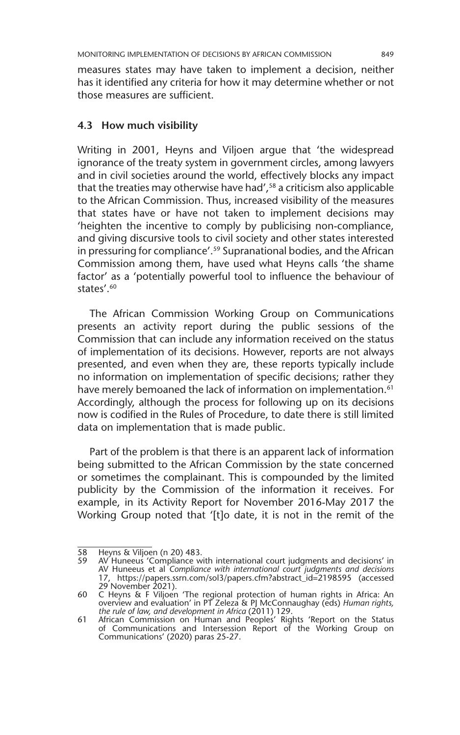measures states may have taken to implement a decision, neither has it identified any criteria for how it may determine whether or not those measures are sufficient.

#### **4.3 How much visibility**

Writing in 2001, Heyns and Viljoen argue that 'the widespread ignorance of the treaty system in government circles, among lawyers and in civil societies around the world, effectively blocks any impact that the treaties may otherwise have had',<sup>58</sup> a criticism also applicable to the African Commission. Thus, increased visibility of the measures that states have or have not taken to implement decisions may 'heighten the incentive to comply by publicising non-compliance, and giving discursive tools to civil society and other states interested in pressuring for compliance'.59 Supranational bodies, and the African Commission among them, have used what Heyns calls 'the shame factor' as a 'potentially powerful tool to influence the behaviour of states'.60

The African Commission Working Group on Communications presents an activity report during the public sessions of the Commission that can include any information received on the status of implementation of its decisions. However, reports are not always presented, and even when they are, these reports typically include no information on implementation of specific decisions; rather they have merely bemoaned the lack of information on implementation.<sup>61</sup> Accordingly, although the process for following up on its decisions now is codified in the Rules of Procedure, to date there is still limited data on implementation that is made public.

Part of the problem is that there is an apparent lack of information being submitted to the African Commission by the state concerned or sometimes the complainant. This is compounded by the limited publicity by the Commission of the information it receives. For example, in its Activity Report for November 2016-May 2017 the Working Group noted that '[t]o date, it is not in the remit of the

<sup>58</sup> Heyns & Viljoen (n 20) 483.<br>59 AV Huneeus 'Compliance w

AV Huneeus 'Compliance with international court judgments and decisions' in AV Huneeus et al *Compliance with international court judgments and decisions* 17, https://papers.ssrn.com/sol3/papers.cfm?abstract\_id=2198595 (accessed 29 November 2021).

<sup>60</sup> C Heyns & F Viljoen 'The regional protection of human rights in Africa: An overview and evaluation' in PT Zeleza & PJ McConnaughay (eds) *Human rights, the rule of law, and development in Africa* (2011) 129.

<sup>61</sup> African Commission on Human and Peoples' Rights 'Report on the Status of Communications and Intersession Report of the Working Group on Communications' (2020) paras 25-27.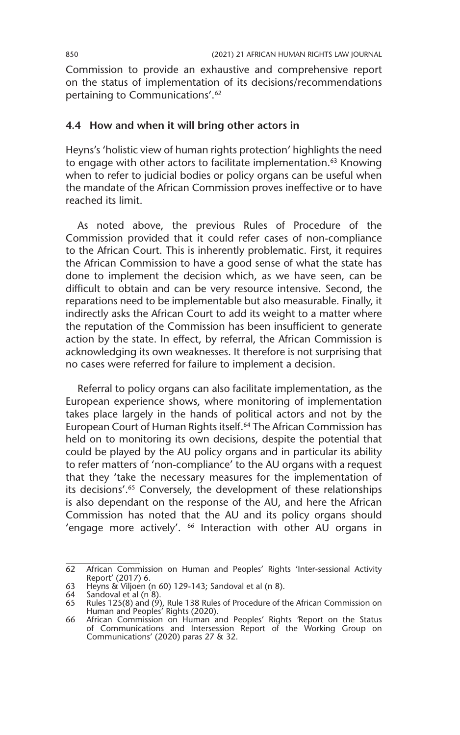Commission to provide an exhaustive and comprehensive report on the status of implementation of its decisions/recommendations pertaining to Communications'.62

#### **4.4 How and when it will bring other actors in**

Heyns's 'holistic view of human rights protection' highlights the need to engage with other actors to facilitate implementation.<sup>63</sup> Knowing when to refer to judicial bodies or policy organs can be useful when the mandate of the African Commission proves ineffective or to have reached its limit.

As noted above, the previous Rules of Procedure of the Commission provided that it could refer cases of non-compliance to the African Court. This is inherently problematic. First, it requires the African Commission to have a good sense of what the state has done to implement the decision which, as we have seen, can be difficult to obtain and can be very resource intensive. Second, the reparations need to be implementable but also measurable. Finally, it indirectly asks the African Court to add its weight to a matter where the reputation of the Commission has been insufficient to generate action by the state. In effect, by referral, the African Commission is acknowledging its own weaknesses. It therefore is not surprising that no cases were referred for failure to implement a decision.

Referral to policy organs can also facilitate implementation, as the European experience shows, where monitoring of implementation takes place largely in the hands of political actors and not by the European Court of Human Rights itself.<sup>64</sup> The African Commission has held on to monitoring its own decisions, despite the potential that could be played by the AU policy organs and in particular its ability to refer matters of 'non-compliance' to the AU organs with a request that they 'take the necessary measures for the implementation of its decisions'.<sup>65</sup> Conversely, the development of these relationships is also dependant on the response of the AU, and here the African Commission has noted that the AU and its policy organs should 'engage more actively'. <sup>66</sup> Interaction with other AU organs in

<sup>62</sup> African Commission on Human and Peoples' Rights 'Inter-sessional Activity Report' (2017) 6.

<sup>63</sup> Heyns & Viljoen (n 60) 129-143; Sandoval et al (n 8).

<sup>64</sup> Sandoval et al (n 8). 65 Rules 125(8) and (9), Rule 138 Rules of Procedure of the African Commission on Human and Peoples' Rights (2020).

<sup>66</sup> African Commission on Human and Peoples' Rights *'*Report on the Status of Communications and Intersession Report of the Working Group on Communications' (2020) paras 27 & 32.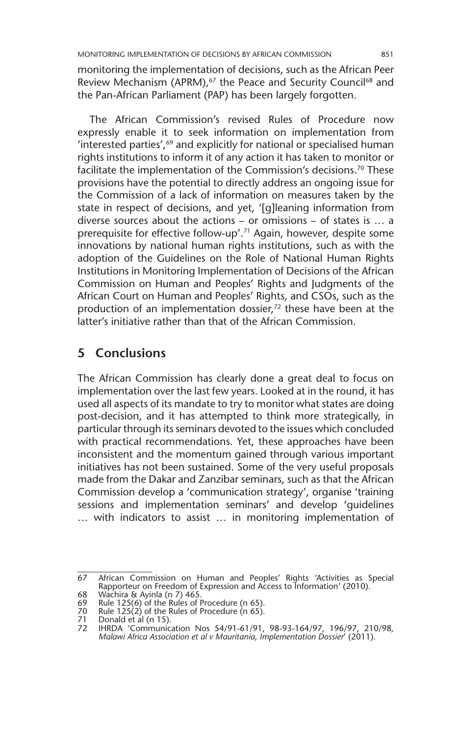monitoring the implementation of decisions, such as the African Peer Review Mechanism (APRM),<sup>67</sup> the Peace and Security Council<sup>68</sup> and the Pan-African Parliament (PAP) has been largely forgotten.

The African Commission's revised Rules of Procedure now expressly enable it to seek information on implementation from 'interested parties',<sup>69</sup> and explicitly for national or specialised human rights institutions to inform it of any action it has taken to monitor or facilitate the implementation of the Commission's decisions.<sup>70</sup> These provisions have the potential to directly address an ongoing issue for the Commission of a lack of information on measures taken by the state in respect of decisions, and yet, '[g]leaning information from diverse sources about the actions – or omissions – of states is … a prerequisite for effective follow-up'.71 Again, however, despite some innovations by national human rights institutions, such as with the adoption of the Guidelines on the Role of National Human Rights Institutions in Monitoring Implementation of Decisions of the African Commission on Human and Peoples' Rights and Judgments of the African Court on Human and Peoples' Rights, and CSOs, such as the production of an implementation dossier,<sup>72</sup> these have been at the latter's initiative rather than that of the African Commission.

## **5 Conclusions**

The African Commission has clearly done a great deal to focus on implementation over the last few years. Looked at in the round, it has used all aspects of its mandate to try to monitor what states are doing post-decision, and it has attempted to think more strategically, in particular through its seminars devoted to the issues which concluded with practical recommendations. Yet, these approaches have been inconsistent and the momentum gained through various important initiatives has not been sustained. Some of the very useful proposals made from the Dakar and Zanzibar seminars, such as that the African Commission develop a 'communication strategy', organise 'training sessions and implementation seminars' and develop 'guidelines … with indicators to assist … in monitoring implementation of

<sup>67</sup> African Commission on Human and Peoples' Rights *'*Activities as Special Rapporteur on Freedom of Expression and Access to Information' (2010).

<sup>68</sup> Wachira & Ayinla (n 7) 465. 69 Rule 125(6) of the Rules of Procedure (n 65).

<sup>70</sup> Rule 125(2) of the Rules of Procedure (n 65).<br>71 Donald et al (n 15).<br>72 HRDA 'Communication Nos 54/91-61/91

Donald et al (n 15).

<sup>72</sup> IHRDA 'Communication Nos 54/91-61/91, 98-93-164/97, 196/97, 210/98*, Malawi Africa Association et al v Mauritania, Implementation Dossier*' (2011).